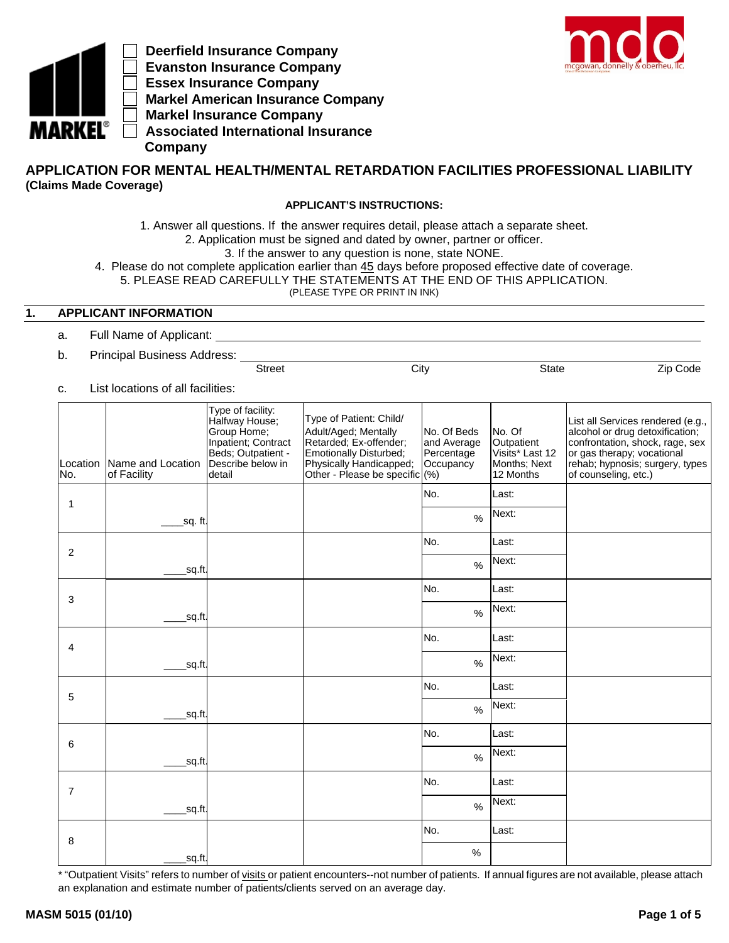

 **Deerfield Insurance Company Evanston Insurance Company Essex Insurance Company Markel American Insurance Company Markel Insurance Company Associated International Insurance Company**



# **APPLICATION FOR MENTAL HEALTH/MENTAL RETARDATION FACILITIES PROFESSIONAL LIABILITY (Claims Made Coverage)**

#### **APPLICANT'S INSTRUCTIONS:**

1. Answer all questions. If the answer requires detail, please attach a separate sheet.

2. Application must be signed and dated by owner, partner or officer.

3. If the answer to any question is none, state NONE.

4. Please do not complete application earlier than 45 days before proposed effective date of coverage.

5. PLEASE READ CAREFULLY THE STATEMENTS AT THE END OF THIS APPLICATION.

(PLEASE TYPE OR PRINT IN INK)

Street City City State Zip Code

## **1. APPLICANT INFORMATION**

- a. Full Name of Applicant:
- b. Principal Business Address:
- c. List locations of all facilities:

| No.            | Location Name and Location<br>of Facility | Type of facility:<br>Halfway House;<br>Group Home;<br>Inpatient; Contract<br>Beds; Outpatient -<br>Describe below in<br>detail | Type of Patient: Child/<br>Adult/Aged; Mentally<br>Retarded; Ex-offender;<br>Emotionally Disturbed;<br>Physically Handicapped;<br>Other - Please be specific (%) | No. Of Beds<br>and Average<br>Percentage<br>Occupancy | No. Of<br>Outpatient<br>Visits* Last 12<br>Months; Next<br>12 Months | List all Services rendered (e.g.,<br>alcohol or drug detoxification;<br>confrontation, shock, rage, sex<br>or gas therapy; vocational<br>rehab; hypnosis; surgery, types<br>of counseling, etc.) |
|----------------|-------------------------------------------|--------------------------------------------------------------------------------------------------------------------------------|------------------------------------------------------------------------------------------------------------------------------------------------------------------|-------------------------------------------------------|----------------------------------------------------------------------|--------------------------------------------------------------------------------------------------------------------------------------------------------------------------------------------------|
| $\mathbf{1}$   |                                           |                                                                                                                                |                                                                                                                                                                  | No.                                                   | Last:                                                                |                                                                                                                                                                                                  |
|                | sq. ft.                                   |                                                                                                                                |                                                                                                                                                                  | $\%$                                                  | Next:                                                                |                                                                                                                                                                                                  |
| 2              |                                           |                                                                                                                                |                                                                                                                                                                  | No.                                                   | Last:                                                                |                                                                                                                                                                                                  |
|                | sq.ft.                                    |                                                                                                                                |                                                                                                                                                                  | $\%$                                                  | Next:                                                                |                                                                                                                                                                                                  |
| 3              |                                           |                                                                                                                                |                                                                                                                                                                  | No.                                                   | Last:                                                                |                                                                                                                                                                                                  |
|                | sq.ft.                                    |                                                                                                                                |                                                                                                                                                                  | $\%$                                                  | Next:                                                                |                                                                                                                                                                                                  |
| $\overline{4}$ |                                           |                                                                                                                                |                                                                                                                                                                  | No.                                                   | Last:                                                                |                                                                                                                                                                                                  |
|                | sq.ft.                                    |                                                                                                                                |                                                                                                                                                                  | $\frac{0}{0}$                                         | Next:                                                                |                                                                                                                                                                                                  |
| 5              |                                           |                                                                                                                                |                                                                                                                                                                  | No.                                                   | Last:                                                                |                                                                                                                                                                                                  |
|                | sq.ft.                                    |                                                                                                                                |                                                                                                                                                                  | $\%$                                                  | Next:                                                                |                                                                                                                                                                                                  |
| 6              |                                           |                                                                                                                                |                                                                                                                                                                  | No.                                                   | Last:                                                                |                                                                                                                                                                                                  |
|                | sq.ft.                                    |                                                                                                                                |                                                                                                                                                                  | $\frac{1}{2}$                                         | Next:                                                                |                                                                                                                                                                                                  |
| $\overline{7}$ |                                           |                                                                                                                                |                                                                                                                                                                  | No.                                                   | Last:                                                                |                                                                                                                                                                                                  |
|                | sq.ft.                                    |                                                                                                                                |                                                                                                                                                                  | $\frac{0}{0}$                                         | Next:                                                                |                                                                                                                                                                                                  |
| 8              |                                           |                                                                                                                                |                                                                                                                                                                  | No.                                                   | Last:                                                                |                                                                                                                                                                                                  |
|                | sq.ft.                                    |                                                                                                                                |                                                                                                                                                                  | $\%$                                                  |                                                                      |                                                                                                                                                                                                  |

\* "Outpatient Visits" refers to number of visits or patient encounters--not number of patients. If annual figures are not available, please attach an explanation and estimate number of patients/clients served on an average day.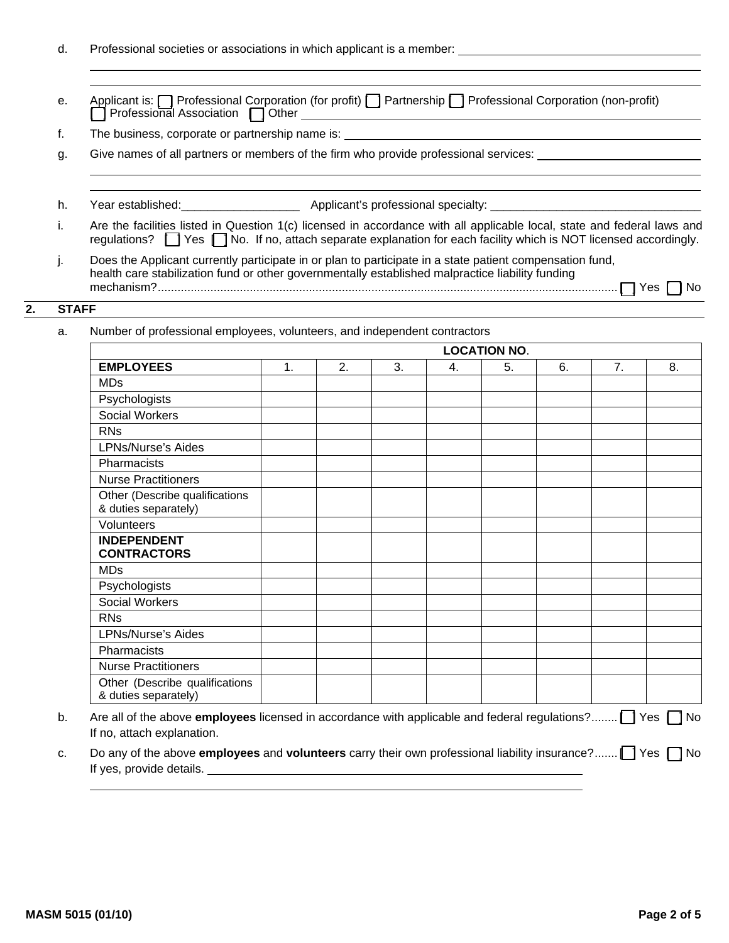|  |  |  |  | Professional societies or associations in which applicant is a member: |
|--|--|--|--|------------------------------------------------------------------------|
|--|--|--|--|------------------------------------------------------------------------|

|                                              | Applicant is: <b>[7]</b> Professional Corporation (for profit) <b>[7]</b> Partnership <b>[7]</b> Professional Corporation (non-profit) |
|----------------------------------------------|----------------------------------------------------------------------------------------------------------------------------------------|
| $\Box$ Professional Association $\Box$ Other |                                                                                                                                        |

f. The business, corporate or partnership name is:

g. Give names of all partners or members of the firm who provide professional services:

- h. Year established: \_\_\_\_\_\_\_\_\_\_\_\_\_\_\_\_\_\_\_\_\_\_\_ Applicant's professional specialty: \_\_\_\_\_\_\_\_\_\_\_\_
- i. Are the facilities listed in Question 1(c) licensed in accordance with all applicable local, state and federal laws and regulations? [ ] Yes [ ] No. If no, attach separate explanation for each facility which is NOT licensed accordingly.
- j. Does the Applicant currently participate in or plan to participate in a state patient compensation fund, health care stabilization fund or other governmentally established malpractice liability funding mechanism? ............................................................................................................................................ [ ] Yes [ ] No

## **2. STAFF**

a. Number of professional employees, volunteers, and independent contractors

|                                                        | <b>LOCATION NO.</b> |    |    |    |    |    |    |    |  |
|--------------------------------------------------------|---------------------|----|----|----|----|----|----|----|--|
| <b>EMPLOYEES</b>                                       | 1.                  | 2. | 3. | 4. | 5. | 6. | 7. | 8. |  |
| <b>MDs</b>                                             |                     |    |    |    |    |    |    |    |  |
| Psychologists                                          |                     |    |    |    |    |    |    |    |  |
| <b>Social Workers</b>                                  |                     |    |    |    |    |    |    |    |  |
| <b>RNs</b>                                             |                     |    |    |    |    |    |    |    |  |
| <b>LPNs/Nurse's Aides</b>                              |                     |    |    |    |    |    |    |    |  |
| Pharmacists                                            |                     |    |    |    |    |    |    |    |  |
| <b>Nurse Practitioners</b>                             |                     |    |    |    |    |    |    |    |  |
| Other (Describe qualifications<br>& duties separately) |                     |    |    |    |    |    |    |    |  |
| Volunteers                                             |                     |    |    |    |    |    |    |    |  |
| <b>INDEPENDENT</b><br><b>CONTRACTORS</b>               |                     |    |    |    |    |    |    |    |  |
| <b>MDs</b>                                             |                     |    |    |    |    |    |    |    |  |
| Psychologists                                          |                     |    |    |    |    |    |    |    |  |
| <b>Social Workers</b>                                  |                     |    |    |    |    |    |    |    |  |
| <b>RNs</b>                                             |                     |    |    |    |    |    |    |    |  |
| <b>LPNs/Nurse's Aides</b>                              |                     |    |    |    |    |    |    |    |  |
| Pharmacists                                            |                     |    |    |    |    |    |    |    |  |
| <b>Nurse Practitioners</b>                             |                     |    |    |    |    |    |    |    |  |
| Other (Describe qualifications<br>& duties separately) |                     |    |    |    |    |    |    |    |  |

- b. Are all of the above **employees** licensed in accordance with applicable and federal regulations? ........ [ ] Yes [ ] No If no, attach explanation.
- c. Do any of the above **employees** and **volunteers** carry their own professional liability insurance? ....... [ ] Yes [ ] No If yes, provide details. The subsequent of the set of the set of the set of the set of the set of the set of the set of the set of the set of the set of the set of the set of the set of the set of the set of the set of the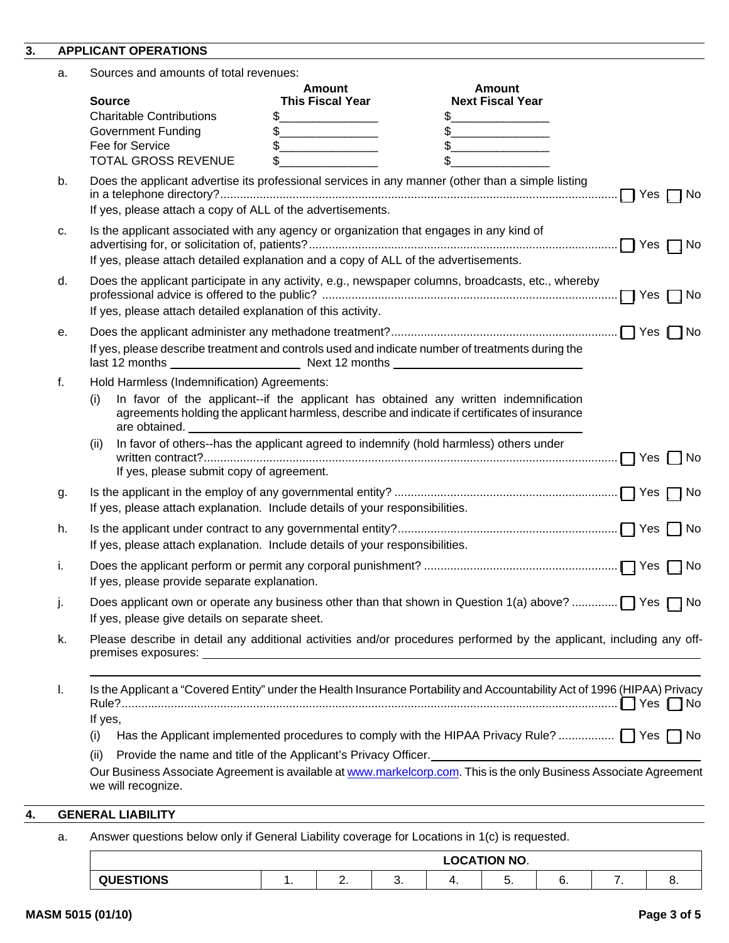### **3. APPLICANT OPERATIONS**

| Sources and amounts of total revenues: |  |
|----------------------------------------|--|
|----------------------------------------|--|

|    | a. | Sources and amounts of total revenues:                                                  |                                                                                                                                       |                                                                                                                                                                                       |                      |
|----|----|-----------------------------------------------------------------------------------------|---------------------------------------------------------------------------------------------------------------------------------------|---------------------------------------------------------------------------------------------------------------------------------------------------------------------------------------|----------------------|
|    |    | <b>Source</b>                                                                           | Amount<br><b>This Fiscal Year</b>                                                                                                     | Amount<br><b>Next Fiscal Year</b>                                                                                                                                                     |                      |
|    |    | <b>Charitable Contributions</b>                                                         | \$.<br><b>Contract Contract Contract Contract</b>                                                                                     | \$.                                                                                                                                                                                   |                      |
|    |    | <b>Government Funding</b>                                                               | $\frac{1}{2}$<br><u> 1989 - Johann Barn, mars ar breithinn ar breithinn ar breithinn ar breithinn ar breithinn ar breithinn ar br</u> | $\frac{1}{2}$                                                                                                                                                                         |                      |
|    |    | Fee for Service                                                                         | $\frac{1}{2}$<br>the control of the control of the control of                                                                         | $\mathfrak s$                                                                                                                                                                         |                      |
|    |    | <b>TOTAL GROSS REVENUE</b>                                                              | \$.                                                                                                                                   | \$                                                                                                                                                                                    |                      |
|    | b. |                                                                                         |                                                                                                                                       | Does the applicant advertise its professional services in any manner (other than a simple listing                                                                                     | $\Box$ Yes $\Box$ No |
|    |    | If yes, please attach a copy of ALL of the advertisements.                              |                                                                                                                                       |                                                                                                                                                                                       |                      |
|    | c. | Is the applicant associated with any agency or organization that engages in any kind of |                                                                                                                                       |                                                                                                                                                                                       |                      |
|    |    | If yes, please attach detailed explanation and a copy of ALL of the advertisements.     |                                                                                                                                       |                                                                                                                                                                                       |                      |
|    | d. | If yes, please attach detailed explanation of this activity.                            |                                                                                                                                       | Does the applicant participate in any activity, e.g., newspaper columns, broadcasts, etc., whereby                                                                                    | $\Box$ Yes $\Box$ No |
|    | е. |                                                                                         |                                                                                                                                       |                                                                                                                                                                                       |                      |
|    |    |                                                                                         |                                                                                                                                       | If yes, please describe treatment and controls used and indicate number of treatments during the                                                                                      |                      |
|    | f. | Hold Harmless (Indemnification) Agreements:                                             |                                                                                                                                       |                                                                                                                                                                                       |                      |
|    |    | (i)<br>are obtained.                                                                    |                                                                                                                                       | In favor of the applicant--if the applicant has obtained any written indemnification<br>agreements holding the applicant harmless, describe and indicate if certificates of insurance |                      |
|    |    | (ii)<br>If yes, please submit copy of agreement.                                        |                                                                                                                                       | In favor of others--has the applicant agreed to indemnify (hold harmless) others under                                                                                                |                      |
|    | g. |                                                                                         |                                                                                                                                       |                                                                                                                                                                                       |                      |
|    |    | If yes, please attach explanation. Include details of your responsibilities.            |                                                                                                                                       |                                                                                                                                                                                       |                      |
|    | h. | If yes, please attach explanation. Include details of your responsibilities.            |                                                                                                                                       |                                                                                                                                                                                       |                      |
|    | i. | If yes, please provide separate explanation.                                            |                                                                                                                                       |                                                                                                                                                                                       |                      |
|    |    | If yes, please give details on separate sheet.                                          |                                                                                                                                       |                                                                                                                                                                                       |                      |
|    | k. | premises exposures:                                                                     |                                                                                                                                       | Please describe in detail any additional activities and/or procedures performed by the applicant, including any off-<br><u> 1989 - Johann Stoff, amerikansk politiker (d. 1989)</u>   |                      |
|    | I. |                                                                                         |                                                                                                                                       | Is the Applicant a "Covered Entity" under the Health Insurance Portability and Accountability Act of 1996 (HIPAA) Privacy                                                             |                      |
|    |    | If yes,                                                                                 |                                                                                                                                       |                                                                                                                                                                                       |                      |
|    |    | (i)                                                                                     |                                                                                                                                       | Has the Applicant implemented procedures to comply with the HIPAA Privacy Rule?  TYes TNo                                                                                             |                      |
|    |    | (ii)                                                                                    | Provide the name and title of the Applicant's Privacy Officer.                                                                        | Our Business Associate Agreement is available at www.markelcorp.com. This is the only Business Associate Agreement                                                                    |                      |
|    |    | we will recognize.                                                                      |                                                                                                                                       |                                                                                                                                                                                       |                      |
| 4. |    | <b>GENERAL LIABILITY</b>                                                                |                                                                                                                                       |                                                                                                                                                                                       |                      |
|    |    |                                                                                         |                                                                                                                                       |                                                                                                                                                                                       |                      |

a. Answer questions below only if General Liability coverage for Locations in 1(c) is requested.

|        |          |    | <b>LOCATION NO.</b> |    |  |
|--------|----------|----|---------------------|----|--|
| 5T10H0 | <u>.</u> | v. | J.                  | v. |  |

**4. GENERAL LIABILITY**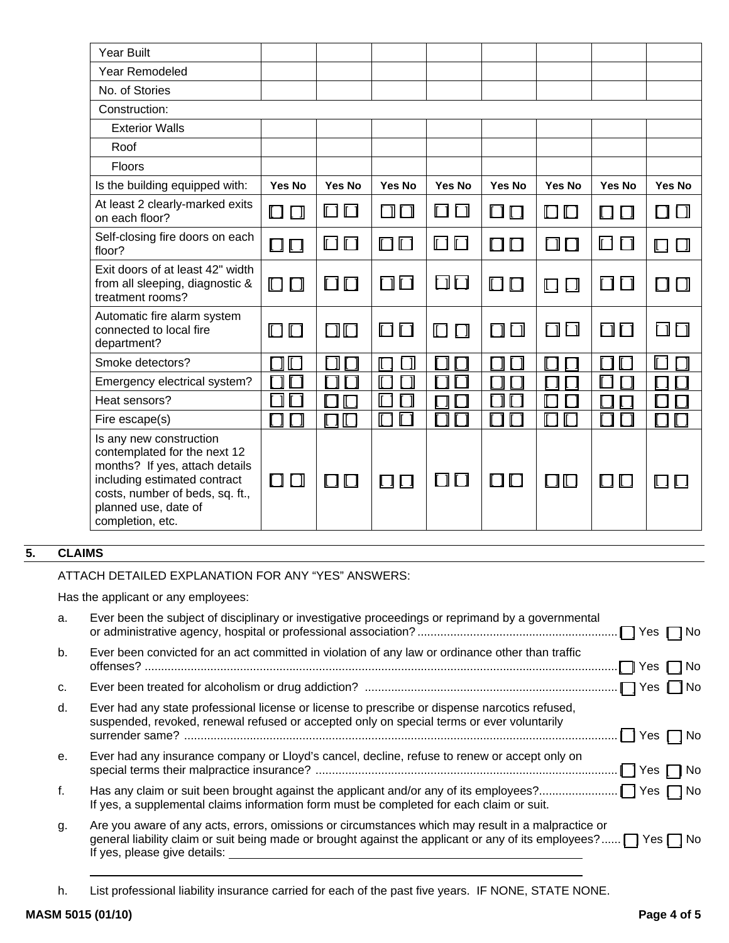| <b>Year Built</b>                                                                                                                                                                                        |               |               |                   |                  |               |                      |                                |              |
|----------------------------------------------------------------------------------------------------------------------------------------------------------------------------------------------------------|---------------|---------------|-------------------|------------------|---------------|----------------------|--------------------------------|--------------|
| <b>Year Remodeled</b>                                                                                                                                                                                    |               |               |                   |                  |               |                      |                                |              |
| No. of Stories                                                                                                                                                                                           |               |               |                   |                  |               |                      |                                |              |
| Construction:                                                                                                                                                                                            |               |               |                   |                  |               |                      |                                |              |
| <b>Exterior Walls</b>                                                                                                                                                                                    |               |               |                   |                  |               |                      |                                |              |
| Roof                                                                                                                                                                                                     |               |               |                   |                  |               |                      |                                |              |
| Floors                                                                                                                                                                                                   |               |               |                   |                  |               |                      |                                |              |
| Is the building equipped with:                                                                                                                                                                           | Yes No        | <b>Yes No</b> | <b>Yes No</b>     | Yes No           | Yes No        | Yes No               | Yes No                         | Yes No       |
| At least 2 clearly-marked exits<br>on each floor?                                                                                                                                                        | $\Box$        | 00            | ПП                | 00               | Π<br>$\Box$   | $\Box$<br>$\Box$     | Π<br>Ιl                        | $\Box$<br>Γl |
| Self-closing fire doors on each<br>floor?                                                                                                                                                                | $\Box$ $\Box$ | 00            | $\Box$ $\Box$     | 00               | $\Box$ $\Box$ | $\Box$               | 回口                             | ⊡⊔           |
| Exit doors of at least 42" width<br>from all sleeping, diagnostic &<br>treatment rooms?                                                                                                                  | $\Box$        | $\Box$ $\Box$ | 00                | 00               | $\Box$ $\Box$ | $\Box$<br>$\Box$     | $\Box$ $\Box$                  | $\Box$       |
| Automatic fire alarm system<br>connected to local fire<br>department?                                                                                                                                    | $\Box$        | $\Box$        | 00                | $\Box$<br>$\Box$ | $\Box$        | 口口                   | $\Box \Box$                    | ロロ           |
| Smoke detectors?                                                                                                                                                                                         | $\Box$        |               | ⊣<br>$\mathbb{E}$ |                  |               | - 1                  |                                | Г            |
| Emergency electrical system?                                                                                                                                                                             |               |               | Г                 |                  |               |                      |                                |              |
| Heat sensors?                                                                                                                                                                                            |               |               | $\Box$            |                  |               | $\Box$               |                                |              |
| Fire escape(s)                                                                                                                                                                                           | ┓             | $\Box$        | П<br>$\Box$       |                  | П             | $\Box$<br>$\Box$     |                                |              |
| Is any new construction<br>contemplated for the next 12<br>months? If yes, attach details<br>including estimated contract<br>costs, number of beds, sq. ft.,<br>planned use, date of<br>completion, etc. | $\Box$ $\Box$ | $\Box$        | ПП                | $\Box$           | $\Box$ $\Box$ | $\blacksquare$<br>Ιl | $\mathbf{I}$<br>$\blacksquare$ | LІ           |

# **5. CLAIMS**

#### ATTACH DETAILED EXPLANATION FOR ANY "YES" ANSWERS:

Has the applicant or any employees:

| a. | Ever been the subject of disciplinary or investigative proceedings or reprimand by a governmental                                                                                                                                                               |
|----|-----------------------------------------------------------------------------------------------------------------------------------------------------------------------------------------------------------------------------------------------------------------|
| b. | Ever been convicted for an act committed in violation of any law or ordinance other than traffic<br>$\Box$ Yes $\Box$ No                                                                                                                                        |
| C. |                                                                                                                                                                                                                                                                 |
| d. | Ever had any state professional license or license to prescribe or dispense narcotics refused,<br>suspended, revoked, renewal refused or accepted only on special terms or ever voluntarily<br>$\Box$ Yes $\Box$ No                                             |
| е. | Ever had any insurance company or Lloyd's cancel, decline, refuse to renew or accept only on<br>$\Box$ Yes $\Box$ No                                                                                                                                            |
| f. | If yes, a supplemental claims information form must be completed for each claim or suit.                                                                                                                                                                        |
| g. | Are you aware of any acts, errors, omissions or circumstances which may result in a malpractice or<br>general liability claim or suit being made or brought against the applicant or any of its employees? $\Box$ Yes $\Box$ No<br>If yes, please give details: |

h. List professional liability insurance carried for each of the past five years. IF NONE, STATE NONE.